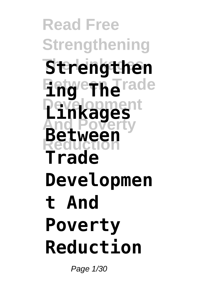**Read Free Strengthening The Linkages Strengthen Engerne**rade **Development Linkages And Poverty Reduction Between Trade Developmen t And Poverty Reduction**

Page 1/30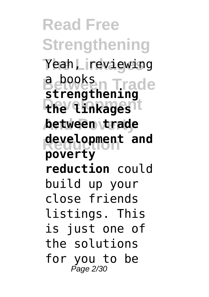**Read Free Strengthening The Linkages** Yeah, reviewing **Between Trade the linkages And Poverty between trade Reduction development and strengthening poverty reduction** could build up your close friends listings. This is just one of the solutions for you to be Page 2/30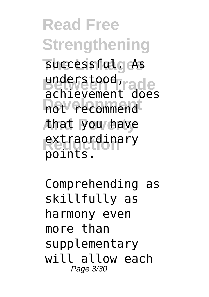**Read Free Strengthening The Linkages** successful. As understood, rade **Development** not recommend **And Poverty** that you have **extraordinary** achievement does points.

Comprehending as skillfully as harmony even more than supplementary will allow each Page 3/30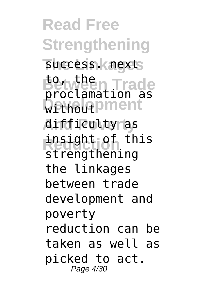**Read Free Strengthening** success. next **Between Trade** proclamation as **Without** Diment **And Poverty** difficulty as insight of this to, the strengthening the linkages between trade development and poverty reduction can be taken as well as picked to act. Page 4/30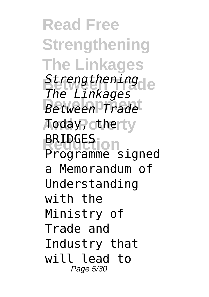**Read Free Strengthening The Linkages Strengthening Development** *Between Trade* Aoday, otherty **Reduction** Programme signed *The Linkages* BRIDGES a Memorandum of Understanding with the Ministry of Trade and Industry that will lead to Page 5/30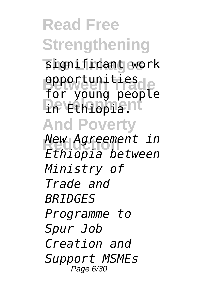**Read Free Strengthening The Linkages** significant work opportunities<br>for young people **Developiant And Poverty Reduction** *New Agreement in* opportunities *Ethiopia between Ministry of Trade and BRIDGES Programme to Spur Job Creation and Support MSMEs* Page 6/30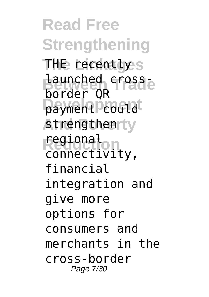**Read Free Strengthening The Linkages** THE recently **Launched cross**payment could strengthenrty **Reduction** regional border QR connectivity, financial integration and give more options for consumers and merchants in the cross-border Page 7/30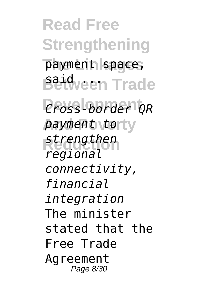**Read Free Strengthening** payment space, **Baid** een Trade **Development** *Cross-border QR* payment torty **Reduction** *strengthen regional connectivity, financial integration* The minister stated that the Free Trade Agreement Page 8/30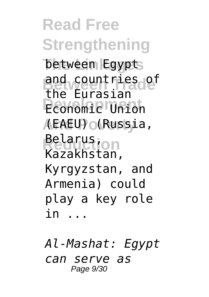**Read Free Strengthening The Linkages** between Egypt **Between Trade** and countries of **Economic Union And Poverty** (EAEU) (Russia, **Relarus** the Eurasian Kazakhstan, Kyrgyzstan, and Armenia) could play a key role in ...

*Al-Mashat: Egypt can serve as* Page 9/30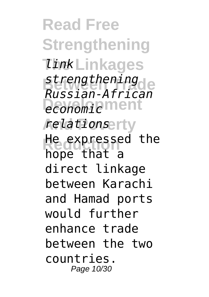**Read Free Strengthening TinkLinkages Between Trade** *strengthening* **Deconomic** ment **And Poverty** *relations* **He expressed the** *Russian-African* hope that a direct linkage between Karachi and Hamad ports would further enhance trade between the two countries. Page 10/30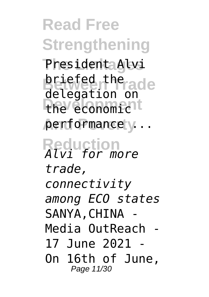**Read Free Strengthening The Linkages** President Alvi **briefed the cade** the economic<sup>1</sup> **And Poverty** performance ... **Reduction** *Alvi for more* delegation on *trade, connectivity among ECO states* SANYA.CHINA -Media OutReach -  $17$  June 2021 On 16th of June, Page 11/30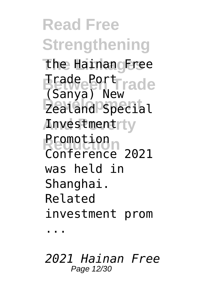**Read Free Strengthening The Linkages** the Hainan Free **Between Trade** Trade Port **Development** Zealand Special *Anvestmentrty* **Rromotion** (Sanya) New Conference 2021 was held in Shanghai. Related investment prom ...

*2021 Hainan Free* Page 12/30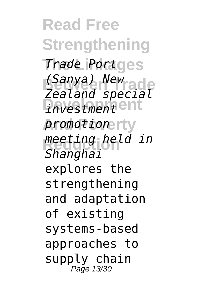**Read Free Strengthening Trade Portges Between Trade** *(Sanya) New investment* **And Poverty** *promotion* **Reduction** *meeting held in Zealand special Shanghai* explores the strengthening and adaptation of existing systems-based approaches to supply chain Page 13/30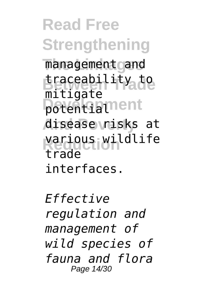**Read Free Strengthening** management and traceability<sub>a</sub>to potentiament **And Poverty** disease risks at **Reduction** various wildlife mitigate trade interfaces.

*Effective regulation and management of wild species of fauna and flora* Page 14/30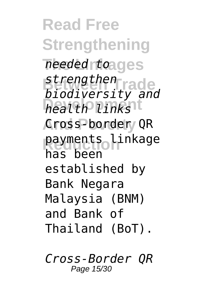**Read Free Strengthening The Linkages** *needed to* strengthen<sub>rade</sub> **Development** *health links* **And Poverty** QR payments linkage *biodiversity and* has been established by Bank Negara Malaysia (BNM) and Bank of Thailand (BoT).

*Cross-Border QR* Page 15/30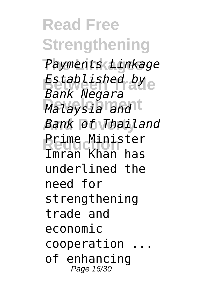**Read Free Strengthening The Linkages** *Payments Linkage* **Between Trade** *Established by* **Development** *Malaysia and* **And Poverty** *Bank of Thailand* **Prime Minister** *Bank Negara* Imran Khan has underlined the need for strengthening trade and economic cooperation of enhancing Page 16/30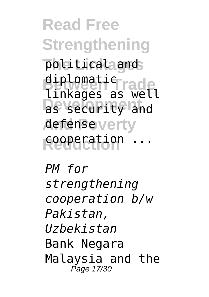**Read Free Strengthening The Linkages** political and diplomatic<sub>rade</sub> **Development** as security and **And Poverty** defense **Reduction** cooperation ... linkages as well

*PM for strengthening cooperation b/w Pakistan, Uzbekistan* Bank Negara Malaysia and the Page 17/30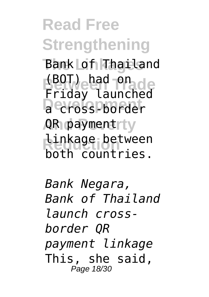**Read Free Strengthening The Linkages** Bank of Thailand **(BOT)** had one **Decross-border** AR paymentrty **Linkage** between Friday launched both countries.

*Bank Negara, Bank of Thailand launch crossborder QR payment linkage* This, she said, Page 18/30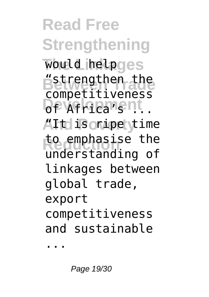**Read Free Strengthening** would helpges **Between the Deveriences** ATt is onipe <sub>y</sub>time to emphasise the competitiveness understanding of linkages between global trade, export competitiveness and sustainable

...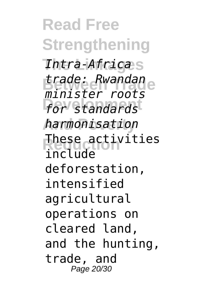**Read Free Strengthening The Linkages** *Intra-Africa* **Between Trade** *trade: Rwandan for standards* **And Poverty** *harmonisation* **Reduction** These activities *minister roots* include deforestation, intensified agricultural operations on cleared land, and the hunting, trade, and Page 20/30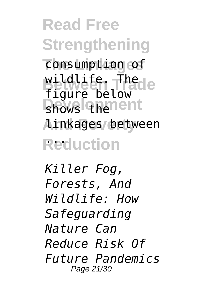**Read Free Strengthening** consumption of wildlife. The de shows thenent **And Poverty** linkages between **Reduction** ... figure below

*Killer Fog, Forests, And Wildlife: How Safeguarding Nature Can Reduce Risk Of Future Pandemics* Page 21/30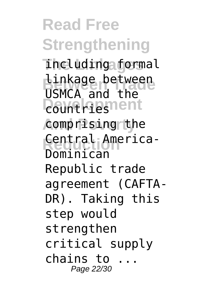**Read Free Strengthening The Linkages** including formal **Linkage between Countries And Poverty** comprising the Central America-USMCA and the Dominican Republic trade agreement (CAFTA-DR). Taking this step would strengthen critical supply chains to ... Page 22/30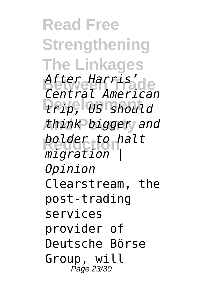**Read Free Strengthening The Linkages Between Trade** *After Harris'* **Development** *trip, US should* **And Poverty** *think bigger and* **Reduction** *bolder to halt Central American migration | Opinion* Clearstream, the post-trading services provider of Deutsche Börse Group, will Page 23/30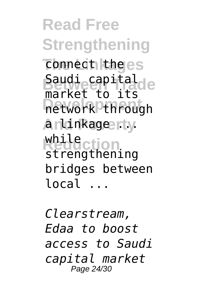**Read Free Strengthening** connect the es **Saudi capital<br>
Saudi capital** network through **And Poverty** a linkage ... **Reduction** while market to its strengthening bridges between local ...

*Clearstream, Edaa to boost access to Saudi capital market* Page 24/30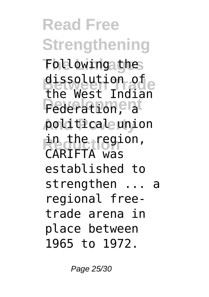**Read Free Strengthening The Linkages** Following the dissolution of<br>The West Indian **Pederation**, at **And Poverty** political union in the region, the West Indian CARIFTA was established to strengthen ... a regional freetrade arena in place between 1965 to 1972.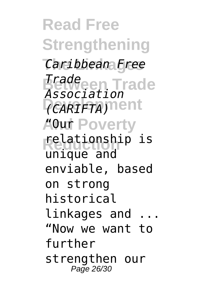**Read Free Strengthening The Linkages** *Caribbean Free* **Between Trade** *Trade CARIFTA)*nent **AOur Poverty Reduction** relationship is *Association* unique and enviable, based on strong historical linkages and "Now we want to further strengthen our Page 26/30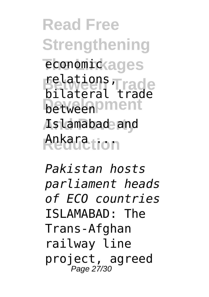**Read Free Strengthening** economickages **Between Trade** relations, **between** ment **And Poverty** Islamabad and **Reduction** Ankara ... bilateral trade

*Pakistan hosts parliament heads of ECO countries* ISLAMABAD: The Trans-Afghan railway line project, agreed Page 27/30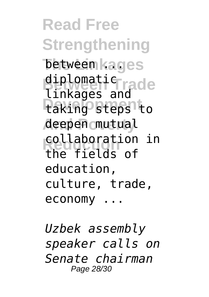**Read Free Strengthening** between kages diplomatic<sub>rade</sub> **Development** taking steps to **And Poverty** deepen mutual collaboration in linkages and the fields of education, culture, trade, economy ...

*Uzbek assembly speaker calls on Senate chairman* Page 28/30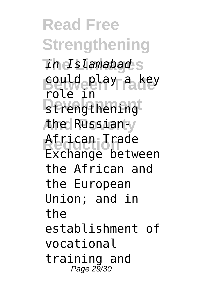**Read Free Strengthening The Linkages** *in Islamabad* **Between Trade** could play a key **B**trengthening **And Poverty** the Russian-**Reduction** African Trade role in Exchange between the African and the European Union; and in the establishment of vocational training and Page 29/30